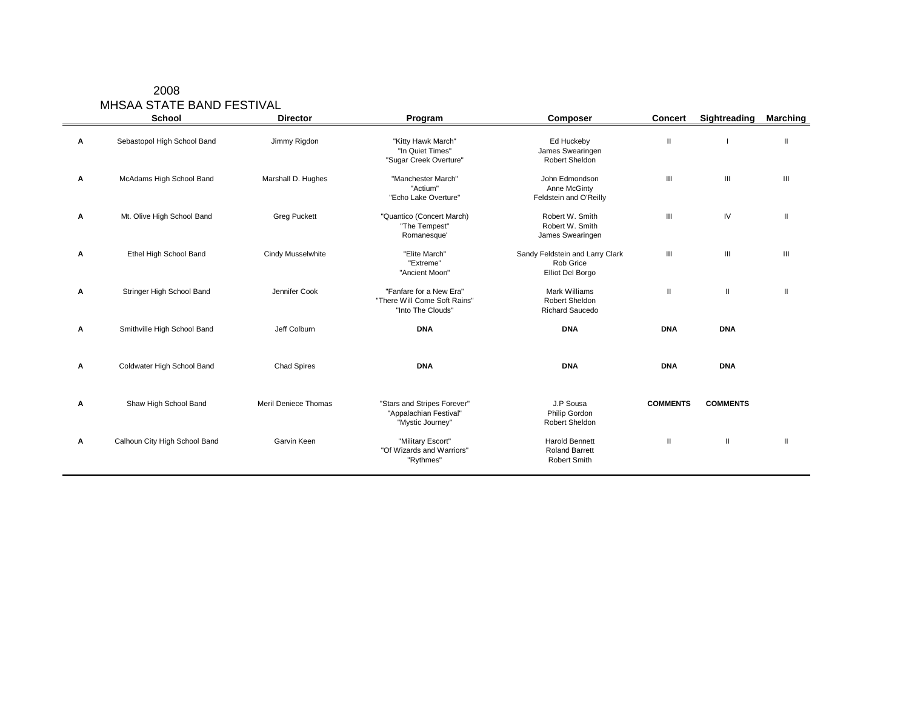| 2008                      |
|---------------------------|
| MHSAA STATE BAND FESTIVAL |
|                           |

|   | <b>School</b>                 | <b>Director</b>      | Program                                                                      | Composer                                                         | <b>Concert</b>  | Sightreading                       | <b>Marching</b> |
|---|-------------------------------|----------------------|------------------------------------------------------------------------------|------------------------------------------------------------------|-----------------|------------------------------------|-----------------|
| A | Sebastopol High School Band   | Jimmy Rigdon         | "Kitty Hawk March"<br>"In Quiet Times"<br>"Sugar Creek Overture"             | Ed Huckeby<br>James Swearingen<br>Robert Sheldon                 | Ш               |                                    | Ш               |
| Α | McAdams High School Band      | Marshall D. Hughes   | "Manchester March"<br>"Actium"<br>"Echo Lake Overture"                       | John Edmondson<br>Anne McGinty<br>Feldstein and O'Reilly         | III             | $\ensuremath{\mathsf{III}}\xspace$ | $\mathbf{III}$  |
| A | Mt. Olive High School Band    | <b>Greg Puckett</b>  | "Quantico (Concert March)<br>"The Tempest"<br>Romanesque'                    | Robert W. Smith<br>Robert W. Smith<br>James Swearingen           | III             | IV                                 | Ш               |
| Α | Ethel High School Band        | Cindy Musselwhite    | "Elite March"<br>"Extreme"<br>"Ancient Moon"                                 | Sandy Feldstein and Larry Clark<br>Rob Grice<br>Elliot Del Borgo | Ш               | $\ensuremath{\mathsf{III}}\xspace$ | $\mathbf{III}$  |
| Α | Stringer High School Band     | Jennifer Cook        | "Fanfare for a New Era"<br>"There Will Come Soft Rains"<br>"Into The Clouds" | <b>Mark Williams</b><br>Robert Sheldon<br><b>Richard Saucedo</b> | Ш               | Ш                                  | Ш               |
| Α | Smithville High School Band   | Jeff Colburn         | <b>DNA</b>                                                                   | <b>DNA</b>                                                       | <b>DNA</b>      | <b>DNA</b>                         |                 |
| A | Coldwater High School Band    | <b>Chad Spires</b>   | <b>DNA</b>                                                                   | <b>DNA</b>                                                       | <b>DNA</b>      | <b>DNA</b>                         |                 |
| Α | Shaw High School Band         | Meril Deniece Thomas | "Stars and Stripes Forever"<br>"Appalachian Festival"<br>"Mystic Journey"    | J.P Sousa<br>Philip Gordon<br>Robert Sheldon                     | <b>COMMENTS</b> | <b>COMMENTS</b>                    |                 |
| Α | Calhoun City High School Band | Garvin Keen          | "Military Escort"<br>"Of Wizards and Warriors"<br>"Rythmes"                  | <b>Harold Bennett</b><br><b>Roland Barrett</b><br>Robert Smith   | $\mathbf{H}$    | $\mathbf{I}$                       | Ш               |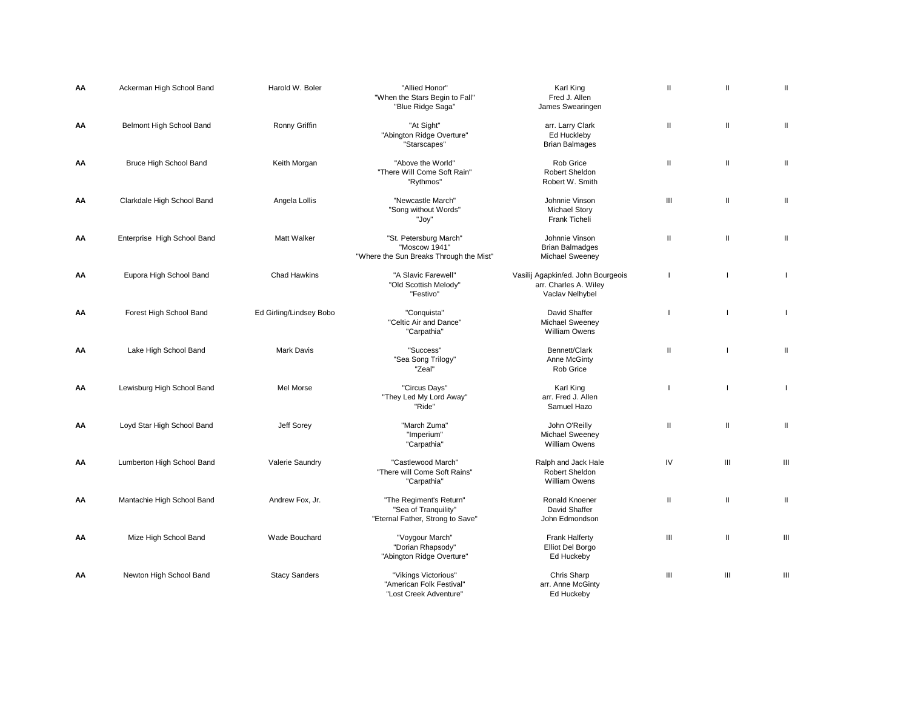| AA | Ackerman High School Band   | Harold W. Boler         | "Allied Honor"<br>"When the Stars Begin to Fall"<br>"Blue Ridge Saga"               | Karl King<br>Fred J. Allen<br>James Swearingen                                 | $\mathbf{H}$   | $\mathbf{H}$  | Ш                                  |
|----|-----------------------------|-------------------------|-------------------------------------------------------------------------------------|--------------------------------------------------------------------------------|----------------|---------------|------------------------------------|
| ΑА | Belmont High School Band    | Ronny Griffin           | "At Sight"<br>"Abington Ridge Overture"<br>"Starscapes"                             | arr. Larry Clark<br>Ed Huckleby<br><b>Brian Balmages</b>                       | $\mathbf{H}$   | $\mathbf{H}$  | Ш                                  |
| АΑ | Bruce High School Band      | Keith Morgan            | "Above the World"<br>"There Will Come Soft Rain"<br>"Rythmos"                       | Rob Grice<br>Robert Sheldon<br>Robert W. Smith                                 | $\mathbf{I}$   | $\mathbf{II}$ | Ш                                  |
| АΑ | Clarkdale High School Band  | Angela Lollis           | "Newcastle March"<br>"Song without Words"<br>"Joy"                                  | Johnnie Vinson<br><b>Michael Story</b><br>Frank Ticheli                        | Ш              | Ш             | Ш                                  |
| АΑ | Enterprise High School Band | Matt Walker             | "St. Petersburg March"<br>"Moscow 1941"<br>"Where the Sun Breaks Through the Mist"  | Johnnie Vinson<br><b>Brian Balmadges</b><br><b>Michael Sweeney</b>             | $\mathbf{H}$   | $\mathbf{I}$  | Ш                                  |
| АΑ | Eupora High School Band     | <b>Chad Hawkins</b>     | "A Slavic Farewell"<br>"Old Scottish Melody"<br>"Festivo"                           | Vasilij Agapkin/ed. John Bourgeois<br>arr. Charles A. Wiley<br>Vaclav Nelhybel |                | п             | $\mathbf{I}$                       |
| АΑ | Forest High School Band     | Ed Girling/Lindsey Bobo | "Conquista"<br>"Celtic Air and Dance"<br>"Carpathia"                                | David Shaffer<br><b>Michael Sweeney</b><br><b>William Owens</b>                | ı              |               | Τ.                                 |
| АΑ | Lake High School Band       | <b>Mark Davis</b>       | "Success"<br>"Sea Song Trilogy"<br>"Zeal"                                           | Bennett/Clark<br>Anne McGinty<br>Rob Grice                                     | $\mathbf{II}$  |               | Ш                                  |
| АΑ | Lewisburg High School Band  | Mel Morse               | "Circus Days"<br>"They Led My Lord Away"<br>"Ride"                                  | Karl King<br>arr. Fred J. Allen<br>Samuel Hazo                                 |                |               | $\overline{1}$                     |
| AA | Loyd Star High School Band  | <b>Jeff Sorey</b>       | "March Zuma"<br>"Imperium"<br>"Carpathia"                                           | John O'Reilly<br><b>Michael Sweeney</b><br><b>William Owens</b>                | $\mathbf{H}$   | Ш             | Ш                                  |
| AA | Lumberton High School Band  | Valerie Saundry         | "Castlewood March"<br>"There will Come Soft Rains"<br>"Carpathia"                   | Ralph and Jack Hale<br>Robert Sheldon<br>William Owens                         | IV             | Ш             | $\ensuremath{\mathsf{III}}\xspace$ |
| АΑ | Mantachie High School Band  | Andrew Fox, Jr.         | "The Regiment's Return"<br>"Sea of Tranquility"<br>"Eternal Father, Strong to Save" | Ronald Knoener<br>David Shaffer<br>John Edmondson                              | $\mathbf{H}$   | $\mathbf{I}$  | Ш                                  |
| АΑ | Mize High School Band       | Wade Bouchard           | "Voygour March"<br>"Dorian Rhapsody"<br>"Abington Ridge Overture"                   | <b>Frank Halferty</b><br>Elliot Del Borgo<br>Ed Huckeby                        | Ш              | $\mathbf{H}$  | Ш                                  |
| ΑА | Newton High School Band     | <b>Stacy Sanders</b>    | "Vikings Victorious"<br>"American Folk Festival"<br>"Lost Creek Adventure"          | Chris Sharp<br>arr. Anne McGinty<br>Ed Huckeby                                 | $\mathbf{III}$ | Ш             | $\ensuremath{\mathsf{III}}\xspace$ |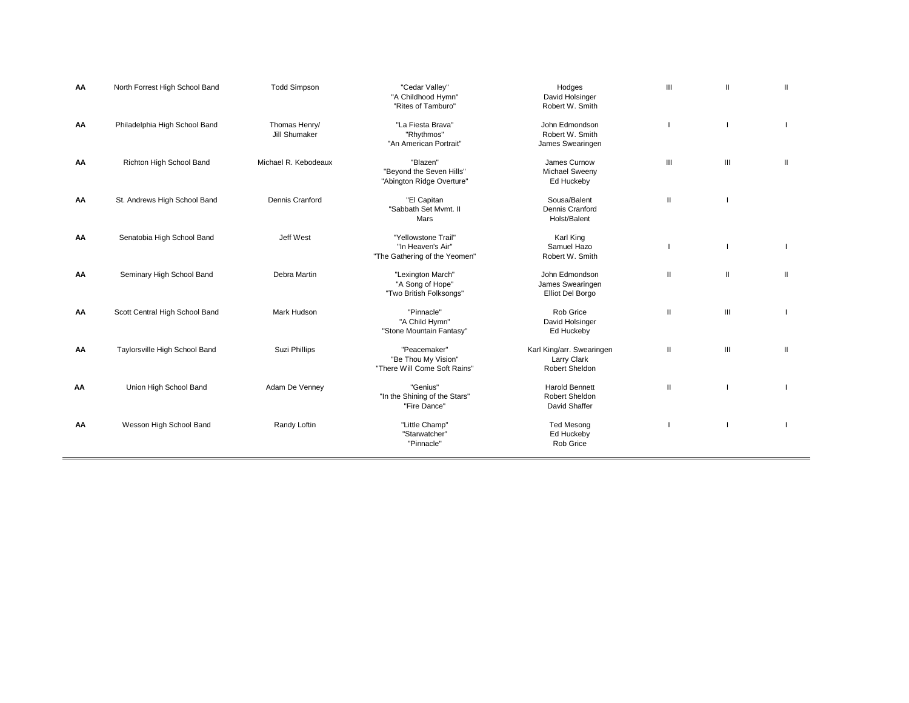| AA | North Forrest High School Band | <b>Todd Simpson</b>            | "Cedar Valley"<br>"A Childhood Hymn"<br>"Rites of Tamburo"                | Hodges<br>David Holsinger<br>Robert W. Smith               | III          | $\mathbf{H}$ |              |
|----|--------------------------------|--------------------------------|---------------------------------------------------------------------------|------------------------------------------------------------|--------------|--------------|--------------|
| AA | Philadelphia High School Band  | Thomas Henry/<br>Jill Shumaker | "La Fiesta Brava"<br>"Rhythmos"<br>"An American Portrait"                 | John Edmondson<br>Robert W. Smith<br>James Swearingen      |              |              |              |
| AA | Richton High School Band       | Michael R. Kebodeaux           | "Blazen"<br>"Beyond the Seven Hills"<br>"Abington Ridge Overture"         | James Curnow<br>Michael Sweeny<br>Ed Huckeby               | III          | III          | $\mathbf{I}$ |
| AA | St. Andrews High School Band   | Dennis Cranford                | "El Capitan<br>"Sabbath Set Mymt. II<br>Mars                              | Sousa/Balent<br>Dennis Cranford<br>Holst/Balent            | $\mathbf{H}$ |              |              |
| AA | Senatobia High School Band     | Jeff West                      | "Yellowstone Trail"<br>"In Heaven's Air"<br>"The Gathering of the Yeomen" | Karl King<br>Samuel Hazo<br>Robert W. Smith                |              |              |              |
| AA | Seminary High School Band      | Debra Martin                   | "Lexington March"<br>"A Song of Hope"<br>"Two British Folksongs"          | John Edmondson<br>James Swearingen<br>Elliot Del Borgo     | $\mathbf{H}$ | $\mathbf{I}$ | Ш            |
| AA | Scott Central High School Band | Mark Hudson                    | "Pinnacle"<br>"A Child Hymn"<br>"Stone Mountain Fantasy"                  | Rob Grice<br>David Holsinger<br>Ed Huckeby                 | $\mathbf{H}$ | Ш            |              |
| AA | Taylorsville High School Band  | Suzi Phillips                  | "Peacemaker"<br>"Be Thou My Vision"<br>"There Will Come Soft Rains"       | Karl King/arr. Swearingen<br>Larry Clark<br>Robert Sheldon | $\mathbf{H}$ | III          | $\mathbf{H}$ |
| AA | Union High School Band         | Adam De Venney                 | "Genius"<br>"In the Shining of the Stars"<br>"Fire Dance"                 | <b>Harold Bennett</b><br>Robert Sheldon<br>David Shaffer   | $\mathbf{H}$ |              |              |
| АΑ | Wesson High School Band        | Randy Loftin                   | "Little Champ"<br>"Starwatcher"<br>"Pinnacle"                             | <b>Ted Mesong</b><br>Ed Huckeby<br>Rob Grice               |              |              |              |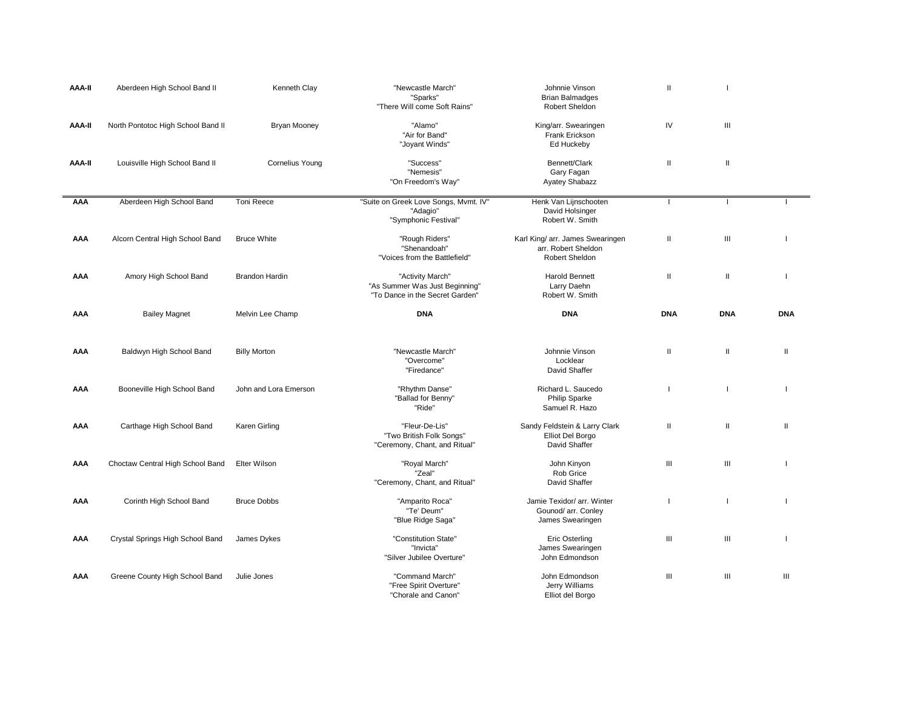| AAA-II        | Aberdeen High School Band II       | Kenneth Clay           | "Newcastle March"<br>"Sparks"<br>"There Will come Soft Rains"                         | Johnnie Vinson<br><b>Brian Balmadges</b><br>Robert Sheldon                | Ш                                                                                                                                                                                                                                                                                                                                                                                                                                                                                                                                        |                |              |
|---------------|------------------------------------|------------------------|---------------------------------------------------------------------------------------|---------------------------------------------------------------------------|------------------------------------------------------------------------------------------------------------------------------------------------------------------------------------------------------------------------------------------------------------------------------------------------------------------------------------------------------------------------------------------------------------------------------------------------------------------------------------------------------------------------------------------|----------------|--------------|
| AAA-II        | North Pontotoc High School Band II | Bryan Mooney           | "Alamo"<br>"Air for Band"<br>"Joyant Winds"                                           | King/arr. Swearingen<br>Frank Erickson<br>Ed Huckeby                      | IV                                                                                                                                                                                                                                                                                                                                                                                                                                                                                                                                       | Ш              |              |
| <b>AAA-II</b> | Louisville High School Band II     | <b>Cornelius Young</b> | "Success"<br>"Nemesis"<br>"On Freedom's Way"                                          | Bennett/Clark<br>Gary Fagan<br>Ayatey Shabazz                             | $\mathbf{II}$                                                                                                                                                                                                                                                                                                                                                                                                                                                                                                                            | $\mathbf{II}$  |              |
| AAA           | Aberdeen High School Band          | Toni Reece             | "Suite on Greek Love Songs, Mvmt. IV"<br>"Adagio"<br>"Symphonic Festival"             | Henk Van Lijnschooten<br>David Holsinger<br>Robert W. Smith               |                                                                                                                                                                                                                                                                                                                                                                                                                                                                                                                                          |                |              |
| AAA           | Alcorn Central High School Band    | <b>Bruce White</b>     | "Rough Riders"<br>"Shenandoah"<br>"Voices from the Battlefield"                       | Karl King/ arr. James Swearingen<br>arr. Robert Sheldon<br>Robert Sheldon | $\mathbf{II}$                                                                                                                                                                                                                                                                                                                                                                                                                                                                                                                            | $\mathbf{III}$ |              |
| AAA           | Amory High School Band             | <b>Brandon Hardin</b>  | "Activity March"<br>"As Summer Was Just Beginning"<br>"To Dance in the Secret Garden" | Harold Bennett<br>Larry Daehn<br>Robert W. Smith                          | $\mathbf{I}$                                                                                                                                                                                                                                                                                                                                                                                                                                                                                                                             | Ш              |              |
| AAA           | <b>Bailey Magnet</b>               | Melvin Lee Champ       | <b>DNA</b>                                                                            | <b>DNA</b>                                                                | <b>DNA</b>                                                                                                                                                                                                                                                                                                                                                                                                                                                                                                                               | <b>DNA</b>     | <b>DNA</b>   |
| AAA           | Baldwyn High School Band           | <b>Billy Morton</b>    | "Newcastle March"<br>"Overcome"<br>"Firedance"                                        | Johnnie Vinson<br>Locklear<br>David Shaffer                               | Ш                                                                                                                                                                                                                                                                                                                                                                                                                                                                                                                                        | Ш              | $\mathbf{I}$ |
| AAA           | Booneville High School Band        | John and Lora Emerson  | "Rhythm Danse"<br>"Ballad for Benny"<br>"Ride"                                        | Richard L. Saucedo<br><b>Philip Sparke</b><br>Samuel R. Hazo              |                                                                                                                                                                                                                                                                                                                                                                                                                                                                                                                                          |                |              |
| AAA           | Carthage High School Band          | Karen Girling          | "Fleur-De-Lis"<br>"Two British Folk Songs"<br>"Ceremony, Chant, and Ritual"           | Sandy Feldstein & Larry Clark<br>Elliot Del Borgo<br>David Shaffer        | $\mathop{\mathrm{II}}% \nolimits_{\mathop{\mathrm{II}}% \nolimits} \mathop{\mathrm{II}}% \nolimits_{\mathop{\mathrm{II}}% \nolimits} \mathop{\mathrm{II}}% \nolimits_{\mathop{\mathrm{II}}% \nolimits} \mathop{\mathrm{II}}% \nolimits_{\mathop{\mathrm{II}}% \nolimits} \mathop{\mathrm{II}}% \nolimits_{\mathop{\mathrm{II}}% \nolimits} \mathop{\mathrm{II}}% \nolimits_{\mathop{\mathrm{II}}% \nolimits} \mathop{\mathrm{II}}% \nolimits_{\mathop{\mathrm{II}}% \nolimits} \mathop{\mathrm{II}}% \nolimits_{\mathop{\mathrm{II}}% \$ | $\mathbf{II}$  | $\mathbf{I}$ |
| AAA           | Choctaw Central High School Band   | Elter Wilson           | "Royal March"<br>"Zeal"<br>"Ceremony, Chant, and Ritual"                              | John Kinyon<br>Rob Grice<br>David Shaffer                                 | Ш                                                                                                                                                                                                                                                                                                                                                                                                                                                                                                                                        | Ш              |              |
| AAA           | Corinth High School Band           | <b>Bruce Dobbs</b>     | "Amparito Roca"<br>"Te' Deum"<br>"Blue Ridge Saga"                                    | Jamie Texidor/ arr. Winter<br>Gounod/ arr. Conley<br>James Swearingen     | $\overline{1}$                                                                                                                                                                                                                                                                                                                                                                                                                                                                                                                           |                |              |
| AAA           | Crystal Springs High School Band   | James Dykes            | "Constitution State"<br>"Invicta"<br>"Silver Jubilee Overture"                        | Eric Osterling<br>James Swearingen<br>John Edmondson                      | Ш                                                                                                                                                                                                                                                                                                                                                                                                                                                                                                                                        | Ш              |              |
| AAA           | Greene County High School Band     | Julie Jones            | "Command March"<br>"Free Spirit Overture"<br>"Chorale and Canon"                      | John Edmondson<br>Jerry Williams<br>Elliot del Borgo                      | Ш                                                                                                                                                                                                                                                                                                                                                                                                                                                                                                                                        | Ш              | Ш            |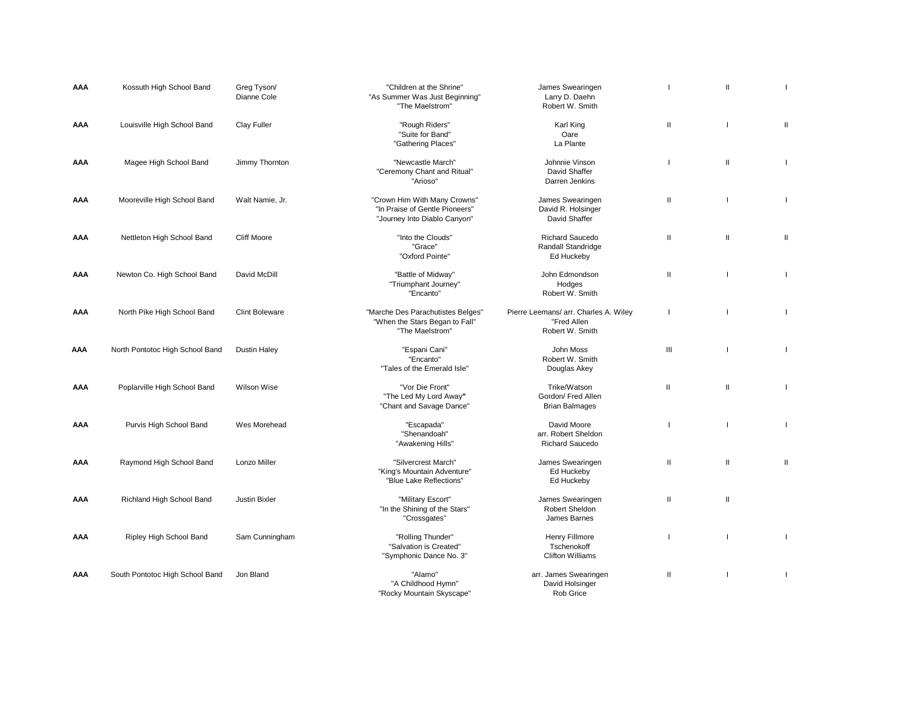| AAA | Kossuth High School Band        | Greg Tyson/<br>Dianne Cole | "Children at the Shrine"<br>"As Summer Was Just Beginning"<br>"The Maelstrom"                  | James Swearingen<br>Larry D. Daehn<br>Robert W. Smith                   |              | Ш             | ı            |
|-----|---------------------------------|----------------------------|------------------------------------------------------------------------------------------------|-------------------------------------------------------------------------|--------------|---------------|--------------|
| AAA | Louisville High School Band     | Clay Fuller                | "Rough Riders"<br>"Suite for Band"<br>"Gathering Places"                                       | Karl King<br>Oare<br>La Plante                                          | $\mathsf{I}$ |               | Ш            |
| AAA | Magee High School Band          | Jimmy Thornton             | "Newcastle March"<br>"Ceremony Chant and Ritual"<br>"Arioso"                                   | Johnnie Vinson<br>David Shaffer<br>Darren Jenkins                       |              | $\mathbf{I}$  | $\mathbf{I}$ |
| AAA | Mooreville High School Band     | Walt Namie, Jr.            | "Crown Him With Many Crowns"<br>"In Praise of Gentle Pioneers"<br>"Journey Into Diablo Canyon" | James Swearingen<br>David R. Holsinger<br>David Shaffer                 | $\mathbf{I}$ | H             | $\mathbf{I}$ |
| AAA | Nettleton High School Band      | <b>Cliff Moore</b>         | "Into the Clouds"<br>"Grace"<br>"Oxford Pointe"                                                | <b>Richard Saucedo</b><br>Randall Standridge<br>Ed Huckeby              | $\mathsf{I}$ | $\mathbf{I}$  | Ш            |
| AAA | Newton Co. High School Band     | David McDill               | "Battle of Midway"<br>"Triumphant Journey"<br>"Encanto"                                        | John Edmondson<br>Hodges<br>Robert W. Smith                             | $\mathbf{H}$ |               | $\mathbf{I}$ |
| AAA | North Pike High School Band     | <b>Clint Boleware</b>      | "Marche Des Parachutistes Belges"<br>"When the Stars Began to Fall"<br>"The Maelstrom"         | Pierre Leemans/ arr. Charles A. Wiley<br>"Fred Allen<br>Robert W. Smith |              |               | $\mathbf{I}$ |
| AAA | North Pontotoc High School Band | <b>Dustin Haley</b>        | "Espani Cani"<br>"Encanto"<br>"Tales of the Emerald Isle"                                      | John Moss<br>Robert W. Smith<br>Douglas Akey                            | Ш            |               | $\mathbf{I}$ |
| AAA | Poplarville High School Band    | <b>Wilson Wise</b>         | "Vor Die Front"<br>"The Led My Lord Away"<br>"Chant and Savage Dance"                          | Trike/Watson<br>Gordon/ Fred Allen<br><b>Brian Balmages</b>             | Ш            | $\mathbf{II}$ | $\mathbf{I}$ |
| AAA | Purvis High School Band         | Wes Morehead               | "Escapada"<br>"Shenandoah"<br>"Awakening Hills"                                                | David Moore<br>arr. Robert Sheldon<br><b>Richard Saucedo</b>            |              |               | $\mathbf{I}$ |
| AAA | Raymond High School Band        | Lonzo Miller               | "Silvercrest March"<br>"King's Mountain Adventure"<br>"Blue Lake Reflections"                  | James Swearingen<br>Ed Huckeby<br>Ed Huckeby                            | $\mathbf{I}$ | $\mathbf{I}$  | Ш            |
| AAA | Richland High School Band       | <b>Justin Bixler</b>       | "Military Escort"<br>"In the Shining of the Stars"<br>"Crossgates"                             | James Swearingen<br>Robert Sheldon<br>James Barnes                      | $\mathsf{I}$ | Ш             |              |
| AAA | Ripley High School Band         | Sam Cunningham             | "Rolling Thunder"<br>"Salvation is Created"<br>"Symphonic Dance No. 3"                         | Henry Fillmore<br>Tschenokoff<br><b>Clifton Williams</b>                |              |               | $\mathbf{I}$ |
| AAA | South Pontotoc High School Band | Jon Bland                  | "Alamo"<br>"A Childhood Hymn"<br>"Rocky Mountain Skyscape"                                     | arr. James Swearingen<br>David Holsinger<br>Rob Grice                   | $\mathbf{I}$ |               | $\mathbf{I}$ |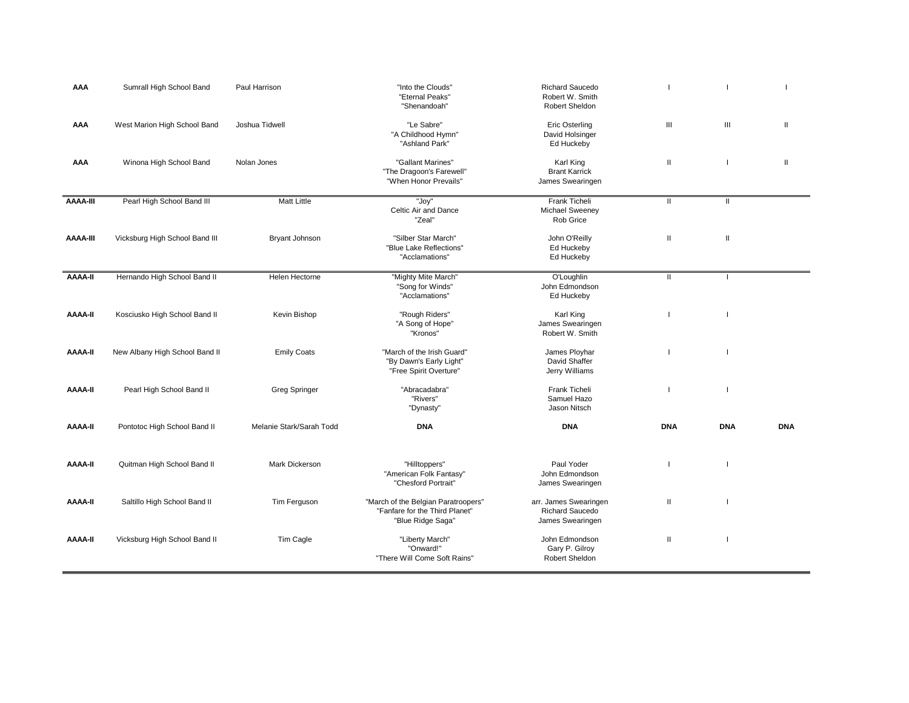| AAA            | Sumrall High School Band       | Paul Harrison            | "Into the Clouds"<br>"Eternal Peaks"<br>"Shenandoah"                                       | <b>Richard Saucedo</b><br>Robert W. Smith<br>Robert Sheldon  |               |                                                                                                                                                                                                                                                                                                                                                                                                                                                                                                                                          |            |
|----------------|--------------------------------|--------------------------|--------------------------------------------------------------------------------------------|--------------------------------------------------------------|---------------|------------------------------------------------------------------------------------------------------------------------------------------------------------------------------------------------------------------------------------------------------------------------------------------------------------------------------------------------------------------------------------------------------------------------------------------------------------------------------------------------------------------------------------------|------------|
| AAA            | West Marion High School Band   | Joshua Tidwell           | "Le Sabre"<br>"A Childhood Hymn"<br>"Ashland Park"                                         | <b>Eric Osterling</b><br>David Holsinger<br>Ed Huckeby       | Ш             | $\mathbf{III}$                                                                                                                                                                                                                                                                                                                                                                                                                                                                                                                           | Ш          |
| AAA            | Winona High School Band        | Nolan Jones              | "Gallant Marines"<br>"The Dragoon's Farewell"<br>"When Honor Prevails"                     | Karl King<br><b>Brant Karrick</b><br>James Swearingen        | Ш             |                                                                                                                                                                                                                                                                                                                                                                                                                                                                                                                                          | Ш          |
| AAAA-III       | Pearl High School Band III     | <b>Matt Little</b>       | "Joy"<br>Celtic Air and Dance<br>"Zeal"                                                    | Frank Ticheli<br>Michael Sweeney<br>Rob Grice                | $\mathbf{II}$ | $\mathbf{I}$                                                                                                                                                                                                                                                                                                                                                                                                                                                                                                                             |            |
| AAAA-III       | Vicksburg High School Band III | Bryant Johnson           | "Silber Star March"<br>"Blue Lake Reflections"<br>"Acclamations"                           | John O'Reilly<br>Ed Huckeby<br>Ed Huckeby                    | Ш             | $\mathop{\mathrm{II}}% \nolimits_{\mathop{\mathrm{II}}% \nolimits} \mathop{\mathrm{II}}% \nolimits_{\mathop{\mathrm{II}}% \nolimits} \mathop{\mathrm{II}}% \nolimits_{\mathop{\mathrm{II}}% \nolimits} \mathop{\mathrm{II}}% \nolimits_{\mathop{\mathrm{II}}% \nolimits} \mathop{\mathrm{II}}% \nolimits_{\mathop{\mathrm{II}}% \nolimits} \mathop{\mathrm{II}}% \nolimits_{\mathop{\mathrm{II}}% \nolimits} \mathop{\mathrm{II}}% \nolimits_{\mathop{\mathrm{II}}% \nolimits} \mathop{\mathrm{II}}% \nolimits_{\mathop{\mathrm{II}}% \$ |            |
| <b>AAAA-II</b> | Hernando High School Band II   | Helen Hectorne           | "Mighty Mite March"<br>"Song for Winds"<br>"Acclamations"                                  | O'Loughlin<br>John Edmondson<br>Ed Huckeby                   | $\mathbf{H}$  | $\mathbf{I}$                                                                                                                                                                                                                                                                                                                                                                                                                                                                                                                             |            |
| <b>AAAA-II</b> | Kosciusko High School Band II  | Kevin Bishop             | "Rough Riders"<br>"A Song of Hope"<br>"Kronos"                                             | Karl King<br>James Swearingen<br>Robert W. Smith             | H             |                                                                                                                                                                                                                                                                                                                                                                                                                                                                                                                                          |            |
| <b>AAAA-II</b> | New Albany High School Band II | <b>Emily Coats</b>       | "March of the Irish Guard"<br>"By Dawn's Early Light"<br>"Free Spirit Overture"            | James Ployhar<br>David Shaffer<br>Jerry Williams             |               |                                                                                                                                                                                                                                                                                                                                                                                                                                                                                                                                          |            |
| <b>II-AAAA</b> | Pearl High School Band II      | Greg Springer            | "Abracadabra"<br>"Rivers"<br>"Dynasty"                                                     | Frank Ticheli<br>Samuel Hazo<br>Jason Nitsch                 |               |                                                                                                                                                                                                                                                                                                                                                                                                                                                                                                                                          |            |
| <b>II-AAAA</b> | Pontotoc High School Band II   | Melanie Stark/Sarah Todd | <b>DNA</b>                                                                                 | <b>DNA</b>                                                   | <b>DNA</b>    | <b>DNA</b>                                                                                                                                                                                                                                                                                                                                                                                                                                                                                                                               | <b>DNA</b> |
| <b>II-AAAA</b> | Quitman High School Band II    | <b>Mark Dickerson</b>    | "Hilltoppers"<br>"American Folk Fantasy"<br>"Chesford Portrait"                            | Paul Yoder<br>John Edmondson<br>James Swearingen             |               |                                                                                                                                                                                                                                                                                                                                                                                                                                                                                                                                          |            |
| <b>AAAA-II</b> | Saltillo High School Band II   | Tim Ferguson             | "March of the Belgian Paratroopers"<br>"Fanfare for the Third Planet"<br>"Blue Ridge Saga" | arr. James Swearingen<br>Richard Saucedo<br>James Swearingen | Ш             |                                                                                                                                                                                                                                                                                                                                                                                                                                                                                                                                          |            |
| <b>AAAA-II</b> | Vicksburg High School Band II  | Tim Cagle                | "Liberty March"<br>"Onward!"<br>"There Will Come Soft Rains'                               | John Edmondson<br>Gary P. Gilroy<br>Robert Sheldon           | Ш             |                                                                                                                                                                                                                                                                                                                                                                                                                                                                                                                                          |            |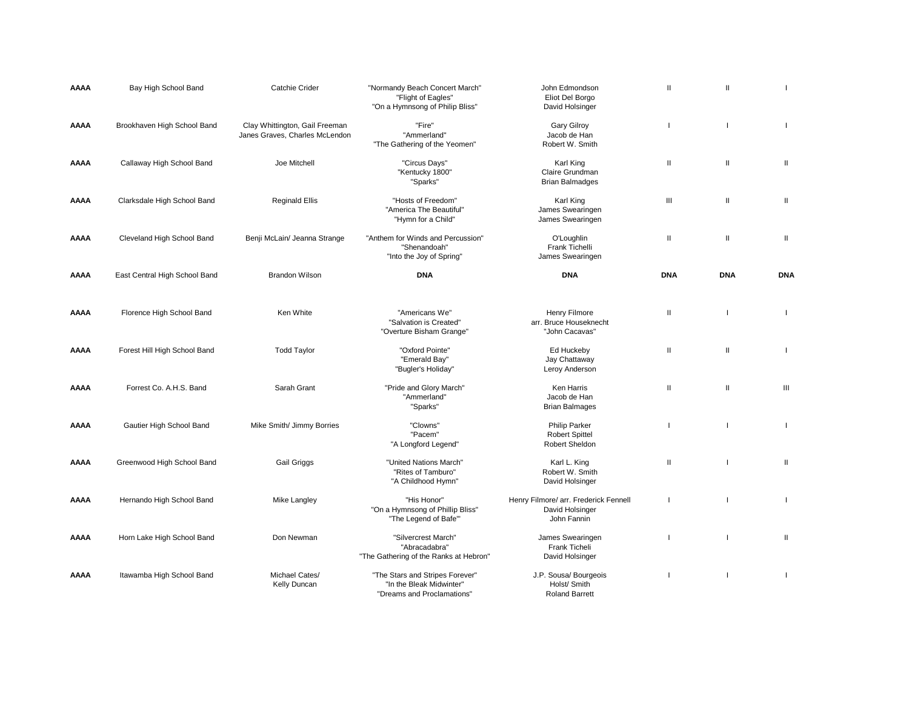| AAAA        | Bay High School Band          | <b>Catchie Crider</b>                                            | "Normandy Beach Concert March"<br>"Flight of Eagles"<br>"On a Hymnsong of Philip Bliss"   | John Edmondson<br>Eliot Del Borgo<br>David Holsinger                    | Ш            | $\mathbf{H}$ |                |
|-------------|-------------------------------|------------------------------------------------------------------|-------------------------------------------------------------------------------------------|-------------------------------------------------------------------------|--------------|--------------|----------------|
| <b>AAAA</b> | Brookhaven High School Band   | Clay Whittington, Gail Freeman<br>Janes Graves, Charles McLendon | "Fire"<br>"Ammerland"<br>"The Gathering of the Yeomen"                                    | <b>Gary Gilroy</b><br>Jacob de Han<br>Robert W. Smith                   | ı            |              | $\mathbf{I}$   |
| AAAA        | Callaway High School Band     | Joe Mitchell                                                     | "Circus Days"<br>"Kentucky 1800"<br>"Sparks"                                              | Karl King<br>Claire Grundman<br><b>Brian Balmadges</b>                  | Ш            | $\mathbf{H}$ | $\mathbf{II}$  |
| AAAA        | Clarksdale High School Band   | <b>Reginald Ellis</b>                                            | "Hosts of Freedom"<br>"America The Beautiful"<br>"Hymn for a Child"                       | Karl King<br>James Swearingen<br>James Swearingen                       | Ш            | Ш            | $\mathbf{II}$  |
| <b>AAAA</b> | Cleveland High School Band    | Benji McLain/ Jeanna Strange                                     | "Anthem for Winds and Percussion"<br>"Shenandoah"<br>"Into the Joy of Spring"             | O'Loughlin<br>Frank Tichelli<br>James Swearingen                        | Ш            | Ш            | Ш              |
| AAAA        | East Central High School Band | <b>Brandon Wilson</b>                                            | <b>DNA</b>                                                                                | <b>DNA</b>                                                              | <b>DNA</b>   | <b>DNA</b>   | <b>DNA</b>     |
| AAAA        | Florence High School Band     | Ken White                                                        | "Americans We"<br>"Salvation is Created"<br>"Overture Bisham Grange"                      | Henry Filmore<br>arr. Bruce Houseknecht<br>"John Cacavas"               | $\mathbf{I}$ |              | $\mathbf{I}$   |
| AAAA        | Forest Hill High School Band  | <b>Todd Taylor</b>                                               | "Oxford Pointe"<br>"Emerald Bay"<br>"Bugler's Holiday"                                    | Ed Huckeby<br>Jay Chattaway<br>Leroy Anderson                           | Ш            | Ш            | $\mathbf{I}$   |
| <b>AAAA</b> | Forrest Co. A.H.S. Band       | Sarah Grant                                                      | "Pride and Glory March"<br>"Ammerland"<br>"Sparks"                                        | Ken Harris<br>Jacob de Han<br><b>Brian Balmages</b>                     | $\mathbf{I}$ | $\mathbf{H}$ | III            |
| AAAA        | Gautier High School Band      | Mike Smith/ Jimmy Borries                                        | "Clowns"<br>"Pacem"<br>"A Longford Legend"                                                | <b>Philip Parker</b><br><b>Robert Spittel</b><br>Robert Sheldon         |              |              | $\mathbf{I}$   |
| AAAA        | Greenwood High School Band    | Gail Griggs                                                      | "United Nations March"<br>"Rites of Tamburo"<br>"A Childhood Hymn"                        | Karl L. King<br>Robert W. Smith<br>David Holsinger                      | $\mathbf{H}$ | $\mathbf{I}$ | $\mathbf{II}$  |
| AAAA        | Hernando High School Band     | Mike Langley                                                     | "His Honor"<br>"On a Hymnsong of Phillip Bliss"<br>"The Legend of Bafe"                   | Henry Filmore/ arr. Frederick Fennell<br>David Holsinger<br>John Fannin | $\mathbf{I}$ |              | $\mathbf{I}$   |
| AAAA        | Horn Lake High School Band    | Don Newman                                                       | "Silvercrest March"<br>"Abracadabra"<br>"The Gathering of the Ranks at Hebron"            | James Swearingen<br>Frank Ticheli<br>David Holsinger                    | H            |              | Ш              |
| <b>AAAA</b> | Itawamba High School Band     | Michael Cates/<br>Kelly Duncan                                   | "The Stars and Stripes Forever"<br>"In the Bleak Midwinter"<br>"Dreams and Proclamations" | J.P. Sousa/ Bourgeois<br>Holst/ Smith<br><b>Roland Barrett</b>          |              |              | $\overline{1}$ |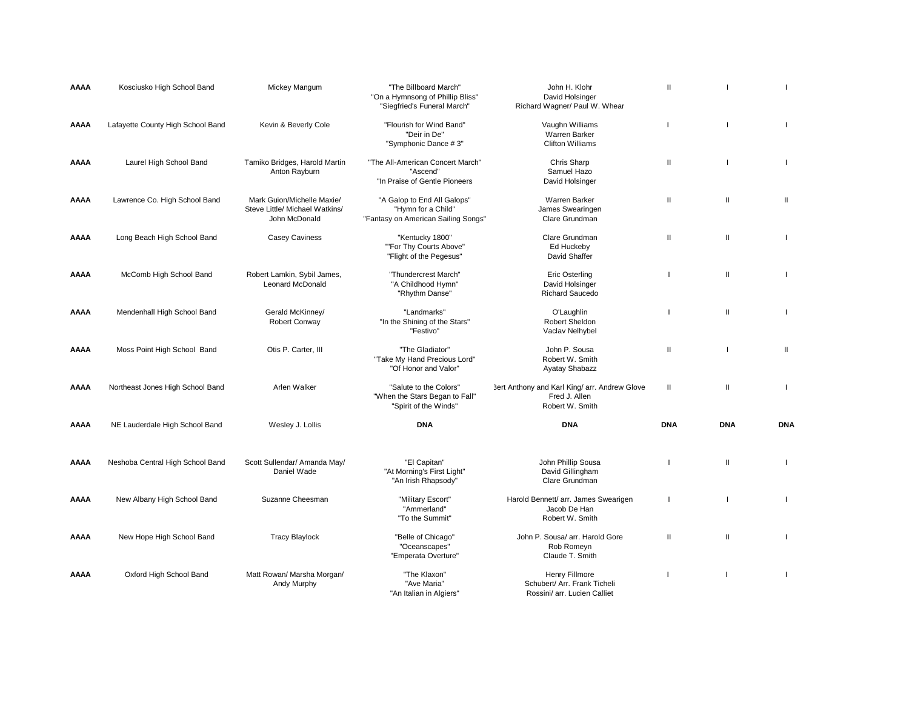| AAAA        | Kosciusko High School Band        | Mickey Mangum                                                                 | "The Billboard March"<br>"On a Hymnsong of Phillip Bliss"<br>"Siegfried's Funeral March" | John H. Klohr<br>David Holsinger<br>Richard Wagner/ Paul W. Whear                 | $\mathbf{H}$ |              |                          |
|-------------|-----------------------------------|-------------------------------------------------------------------------------|------------------------------------------------------------------------------------------|-----------------------------------------------------------------------------------|--------------|--------------|--------------------------|
| AAAA        | Lafayette County High School Band | Kevin & Beverly Cole                                                          | "Flourish for Wind Band"<br>"Deir in De"<br>"Symphonic Dance #3"                         | Vaughn Williams<br>Warren Barker<br><b>Clifton Williams</b>                       | $\mathbf{I}$ |              | $\mathbf{I}$             |
| AAAA        | Laurel High School Band           | Tamiko Bridges, Harold Martin<br>Anton Rayburn                                | "The All-American Concert March"<br>"Ascend"<br>"In Praise of Gentle Pioneers            | Chris Sharp<br>Samuel Hazo<br>David Holsinger                                     | Ш            |              | $\mathbf{I}$             |
| AAAA        | Lawrence Co. High School Band     | Mark Guion/Michelle Maxie/<br>Steve Little/ Michael Watkins/<br>John McDonald | "A Galop to End All Galops"<br>"Hymn for a Child"<br>"Fantasy on American Sailing Songs" | Warren Barker<br>James Swearingen<br>Clare Grundman                               | Ш            | $\mathbf{I}$ | Ш                        |
| AAAA        | Long Beach High School Band       | <b>Casey Caviness</b>                                                         | "Kentucky 1800"<br>""For Thy Courts Above"<br>"Flight of the Pegesus"                    | Clare Grundman<br>Ed Huckeby<br>David Shaffer                                     | Ш            | $\mathbf{I}$ | $\overline{\phantom{a}}$ |
| AAAA        | McComb High School Band           | Robert Lamkin, Sybil James,<br><b>Leonard McDonald</b>                        | "Thundercrest March"<br>"A Childhood Hymn"<br>"Rhythm Danse"                             | <b>Eric Osterling</b><br>David Holsinger<br><b>Richard Saucedo</b>                | H            | $\mathbf{I}$ | $\mathbf{I}$             |
| AAAA        | Mendenhall High School Band       | Gerald McKinney/<br>Robert Conway                                             | "Landmarks"<br>"In the Shining of the Stars"<br>"Festivo"                                | O'Laughlin<br>Robert Sheldon<br>Vaclav Nelhybel                                   |              | $\mathbf{I}$ |                          |
| AAAA        | Moss Point High School Band       | Otis P. Carter, III                                                           | "The Gladiator"<br>"Take My Hand Precious Lord"<br>"Of Honor and Valor"                  | John P. Sousa<br>Robert W. Smith<br>Ayatay Shabazz                                | $\mathbf{I}$ |              | $\mathbf{II}$            |
| AAAA        | Northeast Jones High School Band  | Arlen Walker                                                                  | "Salute to the Colors"<br>"When the Stars Began to Fall"<br>"Spirit of the Winds"        | 3ert Anthony and Karl King/ arr. Andrew Glove<br>Fred J. Allen<br>Robert W. Smith | H            | $\mathbf{I}$ | $\overline{1}$           |
| AAAA        | NE Lauderdale High School Band    | Wesley J. Lollis                                                              | <b>DNA</b>                                                                               | <b>DNA</b>                                                                        | <b>DNA</b>   | <b>DNA</b>   | <b>DNA</b>               |
| AAAA        | Neshoba Central High School Band  | Scott Sullendar/ Amanda May/<br>Daniel Wade                                   | "El Capitan"<br>"At Morning's First Light"<br>"An Irish Rhapsody"                        | John Phillip Sousa<br>David Gillingham<br>Clare Grundman                          |              | $\mathbf{I}$ | $\mathbf{I}$             |
| AAAA        | New Albany High School Band       | Suzanne Cheesman                                                              | "Military Escort"<br>"Ammerland"<br>"To the Summit"                                      | Harold Bennett/ arr. James Swearigen<br>Jacob De Han<br>Robert W. Smith           | H            |              | $\overline{1}$           |
| <b>AAAA</b> | New Hope High School Band         | <b>Tracy Blaylock</b>                                                         | "Belle of Chicago"<br>"Oceanscapes"<br>"Emperata Overture"                               | John P. Sousa/ arr. Harold Gore<br>Rob Romeyn<br>Claude T. Smith                  | $\mathbf{H}$ | $\mathbf{I}$ | $\overline{\phantom{a}}$ |
| <b>AAAA</b> | Oxford High School Band           | Matt Rowan/ Marsha Morgan/<br>Andy Murphy                                     | "The Klaxon"<br>"Ave Maria"<br>"An Italian in Algiers"                                   | Henry Fillmore<br>Schubert/ Arr. Frank Ticheli<br>Rossini/ arr. Lucien Calliet    |              |              |                          |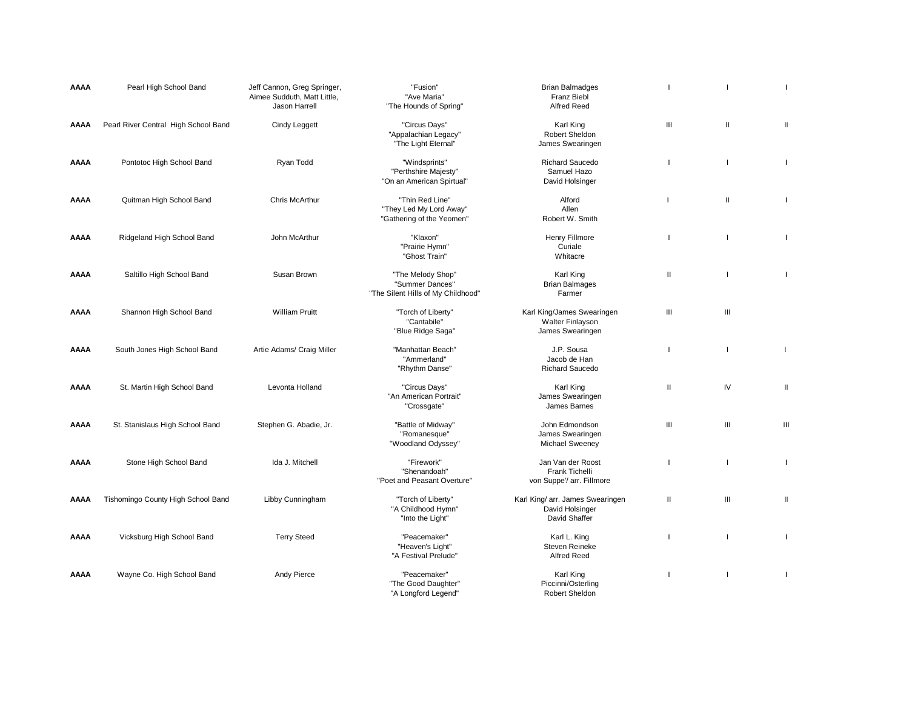| AAAA        | Pearl High School Band               | Jeff Cannon, Greg Springer,<br>Aimee Sudduth, Matt Little,<br>Jason Harrell | "Fusion"<br>"Ave Maria"<br>"The Hounds of Spring"                          | <b>Brian Balmadges</b><br><b>Franz Biebl</b><br><b>Alfred Reed</b>   |              |                |                |
|-------------|--------------------------------------|-----------------------------------------------------------------------------|----------------------------------------------------------------------------|----------------------------------------------------------------------|--------------|----------------|----------------|
| AAAA        | Pearl River Central High School Band | Cindy Leggett                                                               | "Circus Days"<br>"Appalachian Legacy"<br>"The Light Eternal"               | Karl King<br>Robert Sheldon<br>James Swearingen                      | Ш            | $\mathbf{H}$   | Ш              |
| <b>AAAA</b> | Pontotoc High School Band            | Ryan Todd                                                                   | "Windsprints"<br>"Perthshire Majesty"<br>"On an American Spirtual"         | <b>Richard Saucedo</b><br>Samuel Hazo<br>David Holsinger             |              | п              | $\mathbf{I}$   |
| AAAA        | Quitman High School Band             | <b>Chris McArthur</b>                                                       | "Thin Red Line"<br>"They Led My Lord Away"<br>"Gathering of the Yeomen"    | Alford<br>Allen<br>Robert W. Smith                                   | H            | $\mathbf{II}$  | $\mathbf{I}$   |
| AAAA        | Ridgeland High School Band           | John McArthur                                                               | "Klaxon"<br>"Prairie Hymn"<br>"Ghost Train"                                | Henry Fillmore<br>Curiale<br>Whitacre                                |              |                | T              |
| AAAA        | Saltillo High School Band            | Susan Brown                                                                 | "The Melody Shop"<br>"Summer Dances"<br>"The Silent Hills of My Childhood" | Karl King<br><b>Brian Balmages</b><br>Farmer                         | $\mathbf{H}$ |                | $\mathbf{I}$   |
| AAAA        | Shannon High School Band             | <b>William Pruitt</b>                                                       | "Torch of Liberty"<br>"Cantabile"<br>"Blue Ridge Saga"                     | Karl King/James Swearingen<br>Walter Finlayson<br>James Swearingen   | $\mathbf{m}$ | Ш              |                |
| AAAA        | South Jones High School Band         | Artie Adams/ Craig Miller                                                   | "Manhattan Beach"<br>"Ammerland"<br>"Rhythm Danse"                         | J.P. Sousa<br>Jacob de Han<br><b>Richard Saucedo</b>                 | H            | П              | $\overline{1}$ |
| AAAA        | St. Martin High School Band          | Levonta Holland                                                             | "Circus Days"<br>"An American Portrait"<br>"Crossgate"                     | Karl King<br>James Swearingen<br>James Barnes                        | $\mathbf{I}$ | IV             | Ш              |
| AAAA        | St. Stanislaus High School Band      | Stephen G. Abadie, Jr.                                                      | "Battle of Midway"<br>"Romanesque"<br>"Woodland Odyssey"                   | John Edmondson<br>James Swearingen<br>Michael Sweeney                | Ш            | Ш              | Ш              |
| <b>AAAA</b> | Stone High School Band               | Ida J. Mitchell                                                             | "Firework"<br>"Shenandoah"<br>"Poet and Peasant Overture"                  | Jan Van der Roost<br>Frank Tichelli<br>von Suppe'/ arr. Fillmore     | ٠            | П              | $\mathbf{I}$   |
| AAAA        | Tishomingo County High School Band   | Libby Cunningham                                                            | "Torch of Liberty"<br>"A Childhood Hymn"<br>"Into the Light"               | Karl King/ arr. James Swearingen<br>David Holsinger<br>David Shaffer | $\mathbf{I}$ | $\mathbf{III}$ | Ш              |
| <b>AAAA</b> | Vicksburg High School Band           | <b>Terry Steed</b>                                                          | "Peacemaker"<br>"Heaven's Light"<br>"A Festival Prelude"                   | Karl L. King<br>Steven Reineke<br>Alfred Reed                        |              |                | $\mathbf{I}$   |
| AAAA        | Wayne Co. High School Band           | Andy Pierce                                                                 | "Peacemaker"<br>"The Good Daughter"<br>"A Longford Legend"                 | Karl King<br>Piccinni/Osterling<br>Robert Sheldon                    |              |                | $\mathbf{I}$   |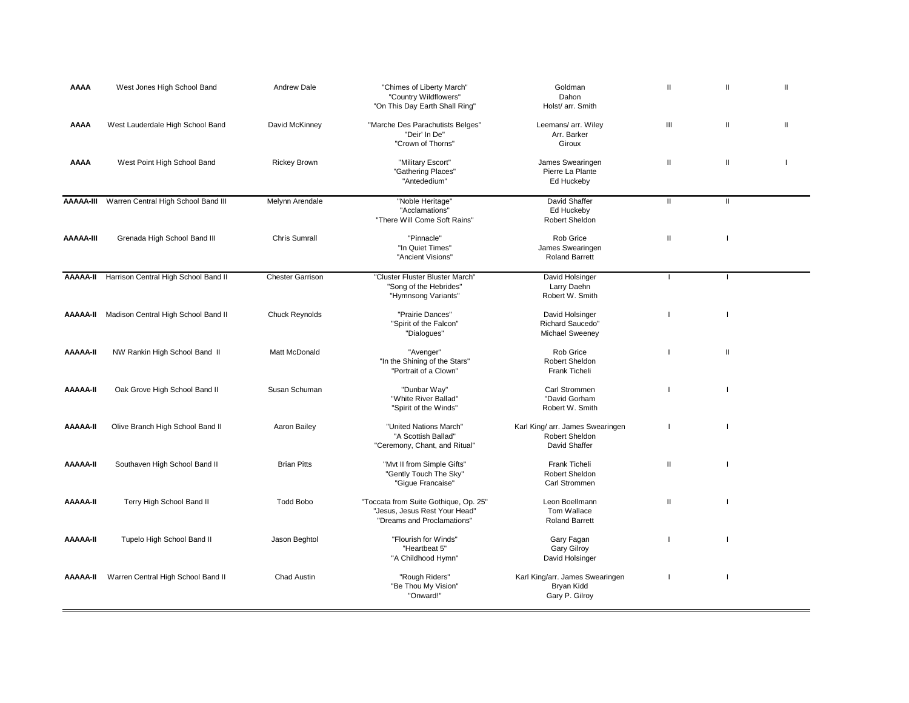| AAAA             | West Jones High School Band          | <b>Andrew Dale</b>      | "Chimes of Liberty March"<br>"Country Wildflowers"<br>"On This Day Earth Shall Ring"                 | Goldman<br>Dahon<br>Holst/ arr. Smith                               | $\mathbf{II}$            | Ш             | Ш |
|------------------|--------------------------------------|-------------------------|------------------------------------------------------------------------------------------------------|---------------------------------------------------------------------|--------------------------|---------------|---|
| AAAA             | West Lauderdale High School Band     | David McKinney          | "Marche Des Parachutists Belges"<br>"Deir' In De"<br>"Crown of Thorns"                               | Leemans/ arr. Wiley<br>Arr. Barker<br>Giroux                        | Ш                        | $\mathbf{II}$ | Ш |
| AAAA             | West Point High School Band          | <b>Rickey Brown</b>     | "Military Escort"<br>"Gathering Places"<br>"Antededium"                                              | James Swearingen<br>Pierre La Plante<br>Ed Huckeby                  | Ш                        | Ш             |   |
| <b>AAAAA-III</b> | Warren Central High School Band III  | Melynn Arendale         | "Noble Heritage"<br>"Acclamations"<br>"There Will Come Soft Rains"                                   | <b>David Shaffer</b><br>Ed Huckeby<br>Robert Sheldon                | $\mathbf{H}$             | $\mathbf{H}$  |   |
| <b>AAAAA-III</b> | Grenada High School Band III         | <b>Chris Sumrall</b>    | "Pinnacle"<br>"In Quiet Times"<br>"Ancient Visions"                                                  | Rob Grice<br>James Swearingen<br><b>Roland Barrett</b>              | Ш                        |               |   |
| <b>AAAAA-II</b>  | Harrison Central High School Band II | <b>Chester Garrison</b> | "Cluster Fluster Bluster March'<br>"Song of the Hebrides"<br>"Hymnsong Variants"                     | David Holsinger<br>Larry Daehn<br>Robert W. Smith                   | $\overline{\phantom{a}}$ | $\mathbf{I}$  |   |
| AAAAA-II         | Madison Central High School Band II  | <b>Chuck Reynolds</b>   | "Prairie Dances"<br>"Spirit of the Falcon"<br>"Dialogues"                                            | David Holsinger<br>Richard Saucedo"<br><b>Michael Sweeney</b>       |                          |               |   |
| AAAAA-II         | NW Rankin High School Band II        | Matt McDonald           | "Avenger"<br>"In the Shining of the Stars"<br>"Portrait of a Clown'                                  | Rob Grice<br>Robert Sheldon<br>Frank Ticheli                        |                          | Ш             |   |
| <b>H-AAAA</b>    | Oak Grove High School Band II        | Susan Schuman           | "Dunbar Way"<br>"White River Ballad"<br>"Spirit of the Winds"                                        | Carl Strommen<br>"David Gorham<br>Robert W. Smith                   |                          |               |   |
| <b>AAAAA-II</b>  | Olive Branch High School Band II     | Aaron Bailey            | "United Nations March"<br>"A Scottish Ballad"<br>"Ceremony, Chant, and Ritual"                       | Karl King/ arr. James Swearingen<br>Robert Sheldon<br>David Shaffer | $\overline{\phantom{a}}$ |               |   |
| AAAAA-II         | Southaven High School Band II        | <b>Brian Pitts</b>      | "Myt II from Simple Gifts"<br>"Gently Touch The Sky"<br>"Gigue Francaise"                            | Frank Ticheli<br>Robert Sheldon<br>Carl Strommen                    | Ш                        |               |   |
| <b>AAAAA-II</b>  | Terry High School Band II            | <b>Todd Bobo</b>        | "Toccata from Suite Gothique, Op. 25"<br>"Jesus, Jesus Rest Your Head"<br>"Dreams and Proclamations" | Leon Boellmann<br>Tom Wallace<br><b>Roland Barrett</b>              | $\mathbf{II}$            |               |   |
| <b>AAAAA-II</b>  | Tupelo High School Band II           | Jason Beghtol           | "Flourish for Winds"<br>"Heartbeat 5"<br>"A Childhood Hymn"                                          | Gary Fagan<br><b>Gary Gilroy</b><br>David Holsinger                 |                          |               |   |
| AAAAA-II         | Warren Central High School Band II   | Chad Austin             | "Rough Riders"<br>"Be Thou My Vision"<br>"Onward!"                                                   | Karl King/arr. James Swearingen<br>Bryan Kidd<br>Gary P. Gilroy     |                          |               |   |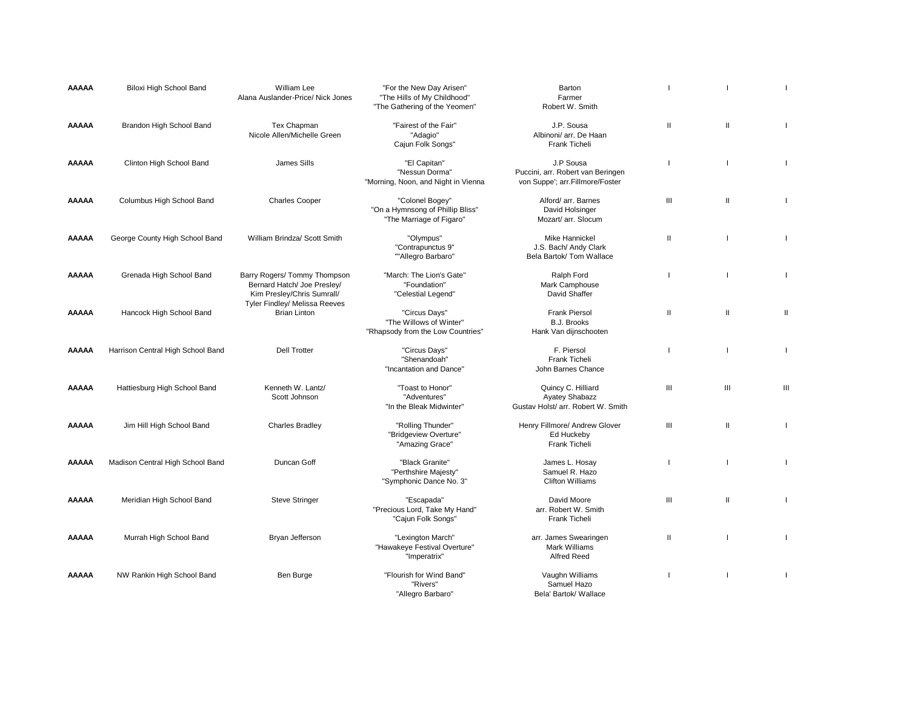| <b>AAAAA</b> | Biloxi High School Band           | William Lee<br>Alana Auslander-Price/ Nick Jones                                                                           | "For the New Day Arisen"<br>"The Hills of My Childhood"<br>"The Gathering of the Yeomen" | Barton<br>Farmer<br>Robert W. Smith                                               |              |              |              |
|--------------|-----------------------------------|----------------------------------------------------------------------------------------------------------------------------|------------------------------------------------------------------------------------------|-----------------------------------------------------------------------------------|--------------|--------------|--------------|
| <b>AAAAA</b> | Brandon High School Band          | Tex Chapman<br>Nicole Allen/Michelle Green                                                                                 | "Fairest of the Fair"<br>"Adagio"<br>Cajun Folk Songs"                                   | J.P. Sousa<br>Albinoni/ arr. De Haan<br>Frank Ticheli                             | Ш            | Ш            | $\mathbf{I}$ |
| <b>AAAAA</b> | Clinton High School Band          | James Sills                                                                                                                | "El Capitan"<br>"Nessun Dorma"<br>"Morning, Noon, and Night in Vienna                    | J.P Sousa<br>Puccini, arr. Robert van Beringen<br>von Suppe'; arr.Fillmore/Foster | п            |              | $\mathbf{I}$ |
| <b>AAAAA</b> | Columbus High School Band         | <b>Charles Cooper</b>                                                                                                      | "Colonel Bogey"<br>"On a Hymnsong of Phillip Bliss"<br>"The Marriage of Figaro"          | Alford/ arr. Barnes<br>David Holsinger<br>Mozart/ arr. Slocum                     | Ш            | Ш            | $\mathbf{I}$ |
| <b>AAAAA</b> | George County High School Band    | William Brindza/ Scott Smith                                                                                               | "Olympus"<br>"Contrapunctus 9"<br>""Allegro Barbaro"                                     | <b>Mike Hannickel</b><br>J.S. Bach/ Andy Clark<br>Bela Bartok/ Tom Wallace        | $\mathbf{I}$ |              | $\mathbf{I}$ |
| <b>AAAAA</b> | Grenada High School Band          | Barry Rogers/ Tommy Thompson<br>Bernard Hatch/ Joe Presley/<br>Kim Presley/Chris Sumrall/<br>Tyler Findley/ Melissa Reeves | "March: The Lion's Gate"<br>"Foundation"<br>"Celestial Legend"                           | Ralph Ford<br>Mark Camphouse<br>David Shaffer                                     |              |              | $\mathbf{I}$ |
| <b>AAAAA</b> | Hancock High School Band          | <b>Brian Linton</b>                                                                                                        | "Circus Days"<br>"The Willows of Winter"<br>"Rhapsody from the Low Countries"            | <b>Frank Piersol</b><br><b>B.J. Brooks</b><br>Hank Van dijnschooten               | Ш            | Ш            | Ш            |
| <b>AAAAA</b> | Harrison Central High School Band | <b>Dell Trotter</b>                                                                                                        | "Circus Days"<br>"Shenandoah"<br>"Incantation and Dance"                                 | F. Piersol<br>Frank Ticheli<br>John Barnes Chance                                 |              |              | $\mathbf{I}$ |
| <b>AAAAA</b> | Hattiesburg High School Band      | Kenneth W. Lantz/<br>Scott Johnson                                                                                         | "Toast to Honor"<br>"Adventures"<br>"In the Bleak Midwinter"                             | Quincy C. Hilliard<br><b>Ayatey Shabazz</b><br>Gustav Holst/ arr. Robert W. Smith | III          | III          | Ш            |
| <b>AAAAA</b> | Jim Hill High School Band         | <b>Charles Bradley</b>                                                                                                     | "Rolling Thunder"<br>"Bridgeview Overture"<br>"Amazing Grace"                            | Henry Fillmore/ Andrew Glover<br>Ed Huckeby<br>Frank Ticheli                      | Ш            | $\mathbf{H}$ | $\mathbf{I}$ |
| <b>AAAAA</b> | Madison Central High School Band  | Duncan Goff                                                                                                                | "Black Granite"<br>"Perthshire Majesty"<br>"Symphonic Dance No. 3"                       | James L. Hosay<br>Samuel R. Hazo<br><b>Clifton Williams</b>                       | -1           |              | $\mathbf{I}$ |
| <b>AAAAA</b> | Meridian High School Band         | <b>Steve Stringer</b>                                                                                                      | "Escapada"<br>"Precious Lord, Take My Hand"<br>"Cajun Folk Songs"                        | David Moore<br>arr. Robert W. Smith<br>Frank Ticheli                              | Ш            | $\mathbf{I}$ | $\mathbf{I}$ |
| <b>AAAAA</b> | Murrah High School Band           | Bryan Jefferson                                                                                                            | "Lexington March"<br>"Hawakeye Festival Overture"<br>"Imperatrix"                        | arr. James Swearingen<br>Mark Williams<br>Alfred Reed                             | Ш            |              |              |
| <b>AAAAA</b> | NW Rankin High School Band        | Ben Burge                                                                                                                  | "Flourish for Wind Band"<br>"Rivers"<br>"Allegro Barbaro"                                | Vaughn Williams<br>Samuel Hazo<br>Bela' Bartok/ Wallace                           |              |              |              |